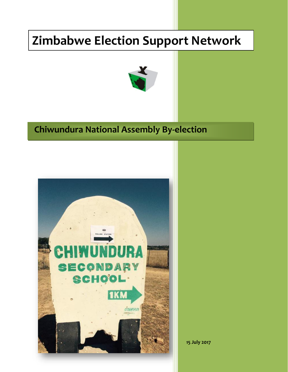# **Zimbabwe Election Support Network**



## **Chiwundura National Assembly By-election**



**15 July 2017**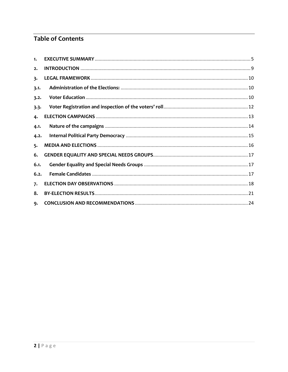### **Table of Contents**

| 1.   |  |
|------|--|
| 2.   |  |
| 3.   |  |
| 3.1. |  |
| 3.2. |  |
| 3.3. |  |
| 4.   |  |
| 4.1. |  |
| 4.2. |  |
| 5.   |  |
| 6.   |  |
| 6.1. |  |
| 6.2. |  |
| 7.   |  |
| 8.   |  |
| 9.   |  |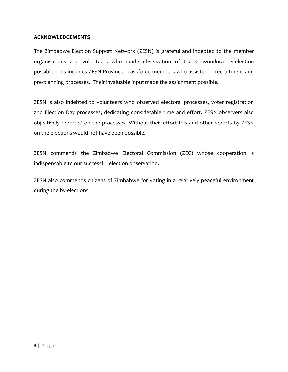#### **ACKNOWLEDGEMENTS**

The Zimbabwe Election Support Network (ZESN) is grateful and indebted to the member organisations and volunteers who made observation of the Chiwundura by-election possible. This includes ZESN Provincial Taskforce members who assisted in recruitment and pre-planning processes. Their invaluable input made the assignment possible.

ZESN is also indebted to volunteers who observed electoral processes, voter registration and Election Day processes, dedicating considerable time and effort. ZESN observers also objectively reported on the processes. Without their effort this and other reports by ZESN on the elections would not have been possible.

ZESN commends the Zimbabwe Electoral Commission (ZEC) whose cooperation is indispensable to our successful election observation.

ZESN also commends citizens of Zimbabwe for voting in a relatively peaceful environment during the by-elections.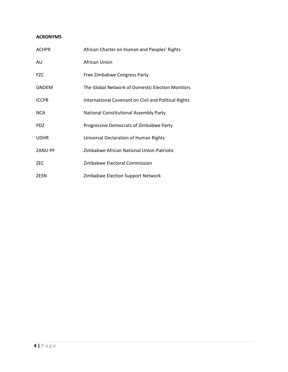#### **ACRONYMS**

| <b>ACHPR</b> | African Charter on Human and Peoples' Rights         |
|--------------|------------------------------------------------------|
| AU           | African Union                                        |
| <b>FZC</b>   | Free Zimbabwe Congress Party                         |
| <b>GNDEM</b> | The Global Network of Domestic Election Monitors     |
| <b>ICCPR</b> | International Covenant on Civil and Political Rights |
| <b>NCA</b>   | <b>National Constitutional Assembly Party</b>        |
| <b>PDZ</b>   | Progressive Democrats of Zimbabwe Party              |
| <b>UDHR</b>  | Universal Declaration of Human Rights                |
| ZANU-PF      | Zimbabwe African National Union-Patriotic            |
| <b>ZEC</b>   | Zimbabwe Electoral Commission                        |
| <b>ZESN</b>  | Zimbabwe Election Support Network                    |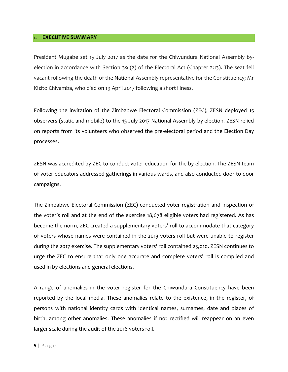#### <span id="page-4-0"></span>**1. EXECUTIVE SUMMARY**

President Mugabe set 15 July 2017 as the date for the Chiwundura National Assembly byelection in accordance with Section 39 (2) of the Electoral Act (Chapter 2:13). The seat fell vacant following the death of the National Assembly representative for the Constituency; Mr Kizito Chivamba, who died on 19 April 2017 following a short illness.

Following the invitation of the Zimbabwe Electoral Commission (ZEC), ZESN deployed 15 observers (static and mobile) to the 15 July 2017 National Assembly by-election. ZESN relied on reports from its volunteers who observed the pre-electoral period and the Election Day processes.

ZESN was accredited by ZEC to conduct voter education for the by-election. The ZESN team of voter educators addressed gatherings in various wards, and also conducted door to door campaigns.

The Zimbabwe Electoral Commission (ZEC) conducted voter registration and inspection of the voter's roll and at the end of the exercise 18,678 eligible voters had registered. As has become the norm, ZEC created a supplementary voters' roll to accommodate that category of voters whose names were contained in the 2013 voters roll but were unable to register during the 2017 exercise. The supplementary voters' roll contained 25,010. ZESN continues to urge the ZEC to ensure that only one accurate and complete voters' roll is compiled and used in by-elections and general elections.

A range of anomalies in the voter register for the Chiwundura Constituency have been reported by the local media. These anomalies relate to the existence, in the register, of persons with national identity cards with identical names, surnames, date and places of birth, among other anomalies. These anomalies if not rectified will reappear on an even larger scale during the audit of the 2018 voters roll.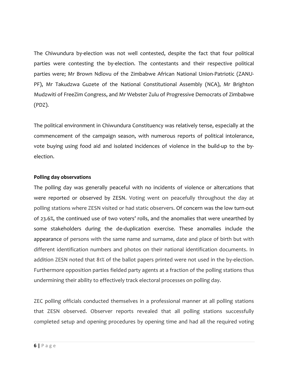The Chiwundura by-election was not well contested, despite the fact that four political parties were contesting the by-election. The contestants and their respective political parties were; Mr Brown Ndlovu of the Zimbabwe African National Union-Patriotic (ZANU-PF), Mr Takudzwa Guzete of the National Constitutional Assembly (NCA), Mr Brighton Mudzwiti of FreeZim Congress, and Mr Webster Zulu of Progressive Democrats of Zimbabwe (PDZ).

The political environment in Chiwundura Constituency was relatively tense, especially at the commencement of the campaign season, with numerous reports of political intolerance, vote buying using food aid and isolated incidences of violence in the build-up to the byelection.

#### **Polling day observations**

The polling day was generally peaceful with no incidents of violence or altercations that were reported or observed by ZESN. Voting went on peacefully throughout the day at polling stations where ZESN visited or had static observers. Of concern was the low turn-out of 23.6%, the continued use of two voters' rolls, and the anomalies that were unearthed by some stakeholders during the de-duplication exercise. These anomalies include the appearance of persons with the same name and surname, date and place of birth but with different identification numbers and photos on their national identification documents. In addition ZESN noted that 81% of the ballot papers printed were not used in the by-election. Furthermore opposition parties fielded party agents at a fraction of the polling stations thus undermining their ability to effectively track electoral processes on polling day.

ZEC polling officials conducted themselves in a professional manner at all polling stations that ZESN observed. Observer reports revealed that all polling stations successfully completed setup and opening procedures by opening time and had all the required voting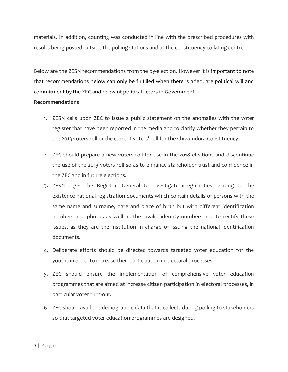materials. In addition, counting was conducted in line with the prescribed procedures with results being posted outside the polling stations and at the constituency collating centre.

Below are the ZESN recommendations from the by-election. However it is important to note that recommendations below can only be fulfilled when there is adequate political will and commitment by the ZEC and relevant political actors in Government.

#### **Recommendations**

- 1. ZESN calls upon ZEC to issue a public statement on the anomalies with the voter register that have been reported in the media and to clarify whether they pertain to the 2013 voters roll or the current voters' roll for the Chiwundura Constituency.
- 2. ZEC should prepare a new voters roll for use in the 2018 elections and discontinue the use of the 2013 voters roll so as to enhance stakeholder trust and confidence in the ZEC and in future elections.
- 3. ZESN urges the Registrar General to investigate irregularities relating to the existence national registration documents which contain details of persons with the same name and surname, date and place of birth but with different identification numbers and photos as well as the invalid identity numbers and to rectify these issues, as they are the institution in charge of issuing the national identification documents.
- 4. Deliberate efforts should be directed towards targeted voter education for the youths in order to increase their participation in electoral processes.
- 5. ZEC should ensure the implementation of comprehensive voter education programmes that are aimed at increase citizen participation in electoral processes, in particular voter turn-out.
- 6. ZEC should avail the demographic data that it collects during polling to stakeholders so that targeted voter education programmes are designed.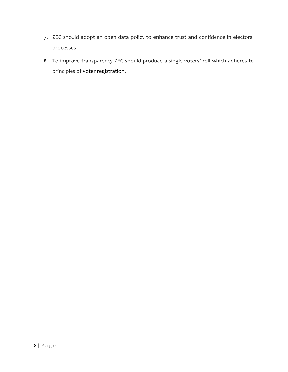- 7. ZEC should adopt an open data policy to enhance trust and confidence in electoral processes.
- 8. To improve transparency ZEC should produce a single voters' roll which adheres to principles of voter registration.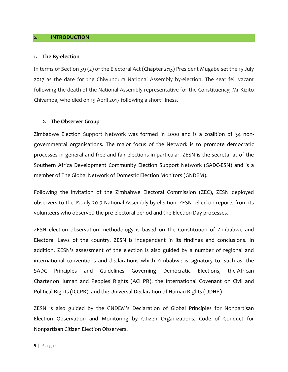#### <span id="page-8-0"></span>**2. INTRODUCTION**

#### **1. The By-election**

In terms of Section 39 (2) of the Electoral Act (Chapter 2:13) President Mugabe set the 15 July 2017 as the date for the Chiwundura National Assembly by-election. The seat fell vacant following the death of the National Assembly representative for the Constituency; Mr Kizito Chivamba, who died on 19 April 2017 following a short illness.

#### **2. The Observer Group**

Zimbabwe Election Support Network was formed in 2000 and is a coalition of 34 nongovernmental organisations. The major focus of the Network is to promote democratic processes in general and free and fair elections in particular. ZESN is the secretariat of the Southern Africa Development Community Election Support Network (SADC-ESN) and is a member of The Global Network of Domestic Election Monitors (GNDEM).

Following the invitation of the Zimbabwe Electoral Commission (ZEC), ZESN deployed observers to the 15 July 2017 National Assembly by-election. ZESN relied on reports from its volunteers who observed the pre-electoral period and the Election Day processes.

ZESN election observation methodology is based on the Constitution of Zimbabwe and Electoral Laws of the country. ZESN is independent in its findings and conclusions. In addition, ZESN's assessment of the election is also guided by a number of regional and international conventions and declarations which Zimbabwe is signatory to, such as, the SADC Principles and Guidelines Governing Democratic Elections, the African Charter on Human and Peoples' Rights (ACHPR), the International Covenant on Civil and Political Rights (ICCPR), and the Universal Declaration of Human Rights (UDHR).

ZESN is also guided by the GNDEM's Declaration of Global Principles for Nonpartisan Election Observation and Monitoring by Citizen Organizations, Code of Conduct for Nonpartisan Citizen Election Observers.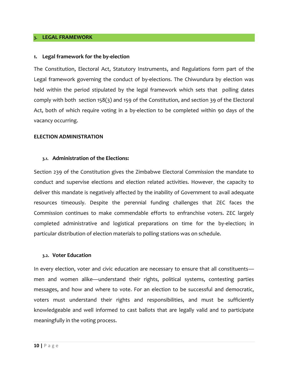#### <span id="page-9-0"></span>**3. LEGAL FRAMEWORK**

#### **1. Legal framework for the by-election**

The Constitution, Electoral Act, Statutory Instruments, and Regulations form part of the Legal framework governing the conduct of by-elections. The Chiwundura by election was held within the period stipulated by the legal framework which sets that polling dates comply with both section 158(3) and 159 of the Constitution, and section 39 of the Electoral Act, both of which require voting in a by-election to be completed within 90 days of the vacancy occurring.

#### <span id="page-9-1"></span>**ELECTION ADMINISTRATION**

#### **3.1. Administration of the Elections:**

Section 239 of the Constitution gives the Zimbabwe Electoral Commission the mandate to conduct and supervise elections and election related activities. However, the capacity to deliver this mandate is negatively affected by the inability of Government to avail adequate resources timeously. Despite the perennial funding challenges that ZEC faces the Commission continues to make commendable efforts to enfranchise voters. ZEC largely completed administrative and logistical preparations on time for the by-election; in particular distribution of election materials to polling stations was on schedule.

#### <span id="page-9-2"></span>**3.2. Voter Education**

In every election, voter and civic education are necessary to ensure that all constituents men and women alike—understand their rights, political systems, contesting parties messages, and how and where to vote. For an election to be successful and democratic, voters must understand their rights and responsibilities, and must be sufficiently knowledgeable and well informed to cast ballots that are legally valid and to participate meaningfully in the voting process.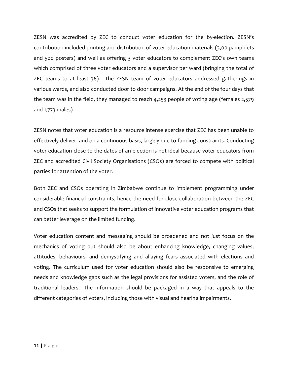ZESN was accredited by ZEC to conduct voter education for the by-election. ZESN's contribution included printing and distribution of voter education materials (3,00 pamphlets and 500 posters) and well as offering 3 voter educators to complement ZEC's own teams which comprised of three voter educators and a supervisor per ward (bringing the total of ZEC teams to at least 36). The ZESN team of voter educators addressed gatherings in various wards, and also conducted door to door campaigns. At the end of the four days that the team was in the field, they managed to reach 4,253 people of voting age (females 2,579 and 1,773 males).

ZESN notes that voter education is a resource intense exercise that ZEC has been unable to effectively deliver, and on a continuous basis, largely due to funding constraints. Conducting voter education close to the dates of an election is not ideal because voter educators from ZEC and accredited Civil Society Organisations (CSOs) are forced to compete with political parties for attention of the voter.

Both ZEC and CSOs operating in Zimbabwe continue to implement programming under considerable financial constraints, hence the need for close collaboration between the ZEC and CSOs that seeks to support the formulation of innovative voter education programs that can better leverage on the limited funding.

Voter education content and messaging should be broadened and not just focus on the mechanics of voting but should also be about enhancing knowledge, changing values, attitudes, behaviours and demystifying and allaying fears associated with elections and voting. The curriculum used for voter education should also be responsive to emerging needs and knowledge gaps such as the legal provisions for assisted voters, and the role of traditional leaders. The information should be packaged in a way that appeals to the different categories of voters, including those with visual and hearing impairments.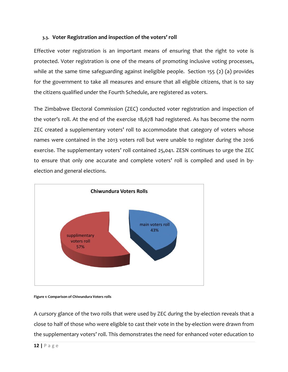#### <span id="page-11-0"></span>**3.3. Voter Registration and inspection of the voters' roll**

Effective voter registration is an important means of ensuring that the right to vote is protected. Voter registration is one of the means of promoting inclusive voting processes, while at the same time safeguarding against ineligible people. Section 155 (2) (a) provides for the government to take all measures and ensure that all eligible citizens, that is to say the citizens qualified under the Fourth Schedule, are registered as voters.

The Zimbabwe Electoral Commission (ZEC) conducted voter registration and inspection of the voter's roll. At the end of the exercise 18,678 had registered. As has become the norm ZEC created a supplementary voters' roll to accommodate that category of voters whose names were contained in the 2013 voters roll but were unable to register during the 2016 exercise. The supplementary voters' roll contained 25,041. ZESN continues to urge the ZEC to ensure that only one accurate and complete voters' roll is compiled and used in byelection and general elections.



**Figure 1: Comparison of Chiwundura Voters rolls** 

A cursory glance of the two rolls that were used by ZEC during the by-election reveals that a close to half of those who were eligible to cast their vote in the by-election were drawn from the supplementary voters' roll. This demonstrates the need for enhanced voter education to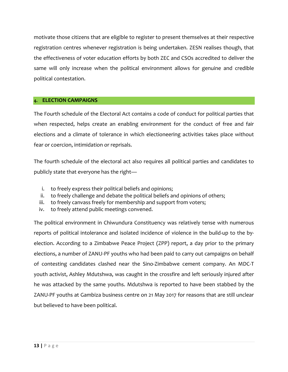motivate those citizens that are eligible to register to present themselves at their respective registration centres whenever registration is being undertaken. ZESN realises though, that the effectiveness of voter education efforts by both ZEC and CSOs accredited to deliver the same will only increase when the political environment allows for genuine and credible political contestation.

#### <span id="page-12-0"></span>**4. ELECTION CAMPAIGNS**

The Fourth schedule of the Electoral Act contains a code of conduct for political parties that when respected, helps create an enabling environment for the conduct of free and fair elections and a climate of tolerance in which electioneering activities takes place without fear or coercion, intimidation or reprisals.

The fourth schedule of the electoral act also requires all political parties and candidates to publicly state that everyone has the right—

- i. to freely express their political beliefs and opinions;
- ii. to freely challenge and debate the political beliefs and opinions of others;
- iii. to freely canvass freely for membership and support from voters;
- iv. to freely attend public meetings convened.

The political environment in Chiwundura Constituency was relatively tense with numerous reports of political intolerance and isolated incidence of violence in the build-up to the byelection. According to a Zimbabwe Peace Project (ZPP) report, a day prior to the primary elections, a number of ZANU-PF youths who had been paid to carry out campaigns on behalf of contesting candidates clashed near the Sino-Zimbabwe cement company. An MDC-T youth activist, Ashley Mdutshwa, was caught in the crossfire and left seriously injured after he was attacked by the same youths. Mdutshwa is reported to have been stabbed by the ZANU-PF youths at Gambiza business centre on 21 May 2017 for reasons that are still unclear but believed to have been political.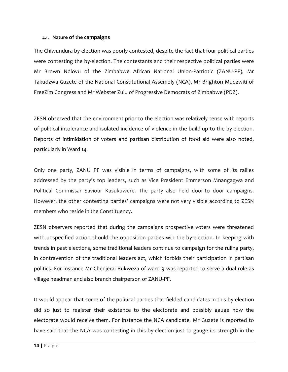#### <span id="page-13-0"></span>**4.1. Nature of the campaigns**

The Chiwundura by-election was poorly contested, despite the fact that four political parties were contesting the by-election. The contestants and their respective political parties were Mr Brown Ndlovu of the Zimbabwe African National Union-Patriotic (ZANU-PF), Mr Takudzwa Guzete of the National Constitutional Assembly (NCA), Mr Brighton Mudzwiti of FreeZim Congress and Mr Webster Zulu of Progressive Democrats of Zimbabwe (PDZ).

ZESN observed that the environment prior to the election was relatively tense with reports of political intolerance and isolated incidence of violence in the build-up to the by-election. Reports of intimidation of voters and partisan distribution of food aid were also noted, particularly in Ward 14.

Only one party, ZANU PF was visible in terms of campaigns, with some of its rallies addressed by the party's top leaders, such as Vice President Emmerson Mnangagwa and Political Commissar Saviour Kasukuwere. The party also held door-to door campaigns. However, the other contesting parties' campaigns were not very visible according to ZESN members who reside in the Constituency.

ZESN observers reported that during the campaigns prospective voters were threatened with unspecified action should the opposition parties win the by-election. In keeping with trends in past elections, some traditional leaders continue to campaign for the ruling party, in contravention of the traditional leaders act, which forbids their participation in partisan politics. For instance Mr Chenjerai Rukweza of ward 9 was reported to serve a dual role as village headman and also branch chairperson of ZANU-PF.

It would appear that some of the political parties that fielded candidates in this by-election did so just to register their existence to the electorate and possibly gauge how the electorate would receive them. For Instance the NCA candidate, Mr Guzete is reported to have said that the NCA was contesting in this by-election just to gauge its strength in the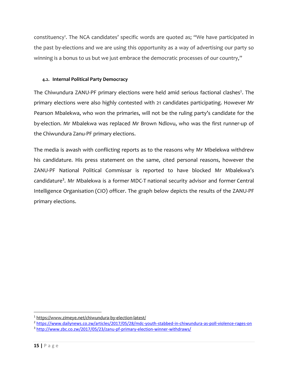constituency<sup>1</sup>. The NCA candidates' specific words are quoted as; "We have participated in the past by-elections and we are using this opportunity as a way of advertising our party so winning is a bonus to us but we just embrace the democratic processes of our country,"

#### <span id="page-14-0"></span>**4.2. Internal Political Party Democracy**

The Chiwundura ZANU-PF primary elections were held amid serious factional clashes<sup>2</sup>. The primary elections were also highly contested with 21 candidates participating. However Mr Pearson Mbalekwa, who won the primaries, will not be the ruling party's candidate for the by-election. Mr Mbalekwa was replaced Mr Brown Ndlovu, who was the first runner-up of the Chiwundura Zanu-PF primary elections.

The media is awash with conflicting reports as to the reasons why Mr Mbelekwa withdrew his candidature. His press statement on the same, cited personal reasons, however the ZANU-PF National Political Commissar is reported to have blocked Mr Mbalekwa's candidature<sup>3</sup>. Mr Mbalekwa is a former [MDC-T](http://www.pindula.co.zw/MDC-T) national security advisor and former Central [Intelligence Organisation](http://www.pindula.co.zw/Central_Intelligence_Organisation) (CIO) officer. The graph below depicts the results of the ZANU-PF primary elections.

 $\overline{\phantom{a}}$ <sup>1</sup> <https://www.zimeye.net/chiwundura-by-election-latest/>

<sup>2</sup> <https://www.dailynews.co.zw/articles/2017/05/28/mdc-youth-stabbed-in-chiwundura-as-poll-violence-rages-on> <sup>3</sup> <http://www.zbc.co.zw/2017/05/23/zanu-pf-primary-election-winner-withdraws/>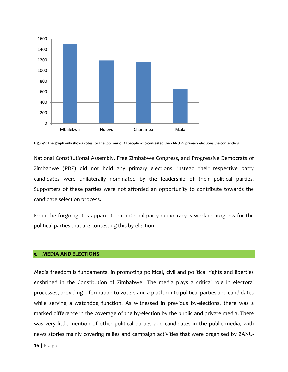

**Figure2: The graph only shows votes for the top four of 21 people who contested the ZANU PF primary elections the contenders.**

National Constitutional Assembly, Free Zimbabwe Congress, and Progressive Democrats of Zimbabwe (PDZ) did not hold any primary elections, instead their respective party candidates were unilaterally nominated by the leadership of their political parties. Supporters of these parties were not afforded an opportunity to contribute towards the candidate selection process.

From the forgoing it is apparent that internal party democracy is work in progress for the political parties that are contesting this by-election.

#### <span id="page-15-0"></span>**5. MEDIA AND ELECTIONS**

Media freedom is fundamental in promoting political, civil and political rights and liberties enshrined in the Constitution of Zimbabwe. The media plays a critical role in electoral processes, providing information to voters and a platform to political parties and candidates while serving a watchdog function. As witnessed in previous by-elections, there was a marked difference in the coverage of the by-election by the public and private media. There was very little mention of other political parties and candidates in the public media, with news stories mainly covering rallies and campaign activities that were organised by ZANU-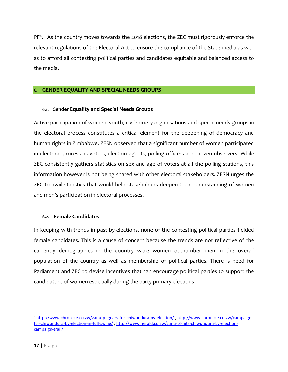PF<sup>4</sup> . As the country moves towards the 2018 elections, the ZEC must rigorously enforce the relevant regulations of the Electoral Act to ensure the compliance of the State media as well as to afford all contesting political parties and candidates equitable and balanced access to the media.

#### <span id="page-16-1"></span><span id="page-16-0"></span>**6. GENDER EQUALITY AND SPECIAL NEEDS GROUPS**

#### **6.1. Gender Equality and Special Needs Groups**

Active participation of women, youth, civil society organisations and special needs groups in the electoral process constitutes a critical element for the deepening of democracy and human rights in Zimbabwe. ZESN observed that a significant number of women participated in electoral process as voters, election agents, polling officers and citizen observers. While ZEC consistently gathers statistics on sex and age of voters at all the polling stations, this information however is not being shared with other electoral stakeholders. ZESN urges the ZEC to avail statistics that would help stakeholders deepen their understanding of women and men's participation in electoral processes.

#### <span id="page-16-2"></span>**6.2. Female Candidates**

In keeping with trends in past by-elections, none of the contesting political parties fielded female candidates. This is a cause of concern because the trends are not reflective of the currently demographics in the country were women outnumber men in the overall population of the country as well as membership of political parties. There is need for Parliament and ZEC to devise incentives that can encourage political parties to support the candidature of women especially during the party primary elections.

 $\overline{\phantom{a}}$ 

<sup>4</sup> <http://www.chronicle.co.zw/zanu-pf-gears-for-chiwundura-by-election/> , [http://www.chronicle.co.zw/campaign](http://www.chronicle.co.zw/campaign-for-chiwundura-by-election-in-full-swing/)[for-chiwundura-by-election-in-full-swing/](http://www.chronicle.co.zw/campaign-for-chiwundura-by-election-in-full-swing/) [, http://www.herald.co.zw/zanu-pf-hits-chiwundura-by-election](http://www.herald.co.zw/zanu-pf-hits-chiwundura-by-election-campaign-trail/)[campaign-trail/](http://www.herald.co.zw/zanu-pf-hits-chiwundura-by-election-campaign-trail/)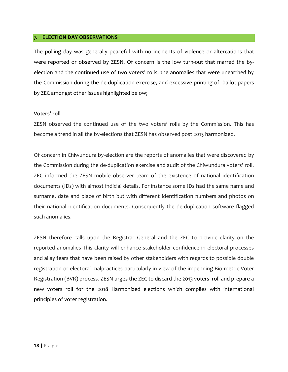#### <span id="page-17-0"></span>**7. ELECTION DAY OBSERVATIONS**

The polling day was generally peaceful with no incidents of violence or altercations that were reported or observed by ZESN. Of concern is the low turn-out that marred the byelection and the continued use of two voters' rolls, the anomalies that were unearthed by the Commission during the de-duplication exercise, and excessive printing of ballot papers by ZEC amongst other issues highlighted below;

#### **Voters' roll**

ZESN observed the continued use of the two voters' rolls by the Commission. This has become a trend in all the by-elections that ZESN has observed post 2013 harmonized.

Of concern in Chiwundura by-election are the reports of anomalies that were discovered by the Commission during the de-duplication exercise and audit of the Chiwundura voters' roll. ZEC informed the ZESN mobile observer team of the existence of national identification documents (IDs) with almost indicial details. For instance some IDs had the same name and surname, date and place of birth but with different identification numbers and photos on their national identification documents. Consequently the de-duplication software flagged such anomalies.

ZESN therefore calls upon the Registrar General and the ZEC to provide clarity on the reported anomalies This clarity will enhance stakeholder confidence in electoral processes and allay fears that have been raised by other stakeholders with regards to possible double registration or electoral malpractices particularly in view of the impending Bio-metric Voter Registration (BVR) process. ZESN urges the ZEC to discard the 2013 voters' roll and prepare a new voters roll for the 2018 Harmonized elections which complies with international principles of voter registration.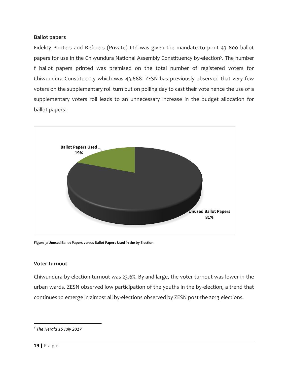#### **Ballot papers**

Fidelity Printers and Refiners (Private) Ltd was given the mandate to print 43 800 ballot papers for use in the Chiwundura National Assembly Constituency by-election<sup>5</sup>. The number f ballot papers printed was premised on the total number of registered voters for Chiwundura Constituency which was 43,688. ZESN has previously observed that very few voters on the supplementary roll turn out on polling day to cast their vote hence the use of a supplementary voters roll leads to an unnecessary increase in the budget allocation for ballot papers.



**Figure 3: Unused Ballot Papers versus Ballot Papers Used in the by Election** 

#### **Voter turnout**

Chiwundura by-election turnout was 23.6%. By and large, the voter turnout was lower in the urban wards. ZESN observed low participation of the youths in the by-election, a trend that continues to emerge in almost all by-elections observed by ZESN post the 2013 elections.

 $\overline{\phantom{a}}$ 

*<sup>5</sup> The Herald 15 July 2017*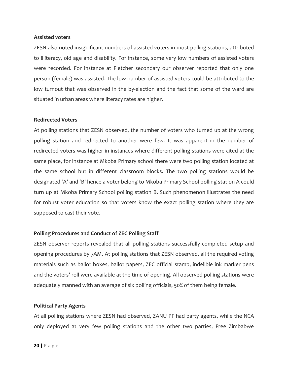#### **Assisted voters**

ZESN also noted insignificant numbers of assisted voters in most polling stations, attributed to illiteracy, old age and disability. For instance, some very low numbers of assisted voters were recorded. For instance at Fletcher secondary our observer reported that only one person (female) was assisted. The low number of assisted voters could be attributed to the low turnout that was observed in the by-election and the fact that some of the ward are situated in urban areas where literacy rates are higher.

#### **Redirected Voters**

At polling stations that ZESN observed, the number of voters who turned up at the wrong polling station and redirected to another were few. It was apparent in the number of redirected voters was higher in instances where different polling stations were cited at the same place, for instance at Mkoba Primary school there were two polling station located at the same school but in different classroom blocks. The two polling stations would be designated 'A' and 'B' hence a voter belong to Mkoba Primary School polling station A could turn up at Mkoba Primary School polling station B. Such phenomenon illustrates the need for robust voter education so that voters know the exact polling station where they are supposed to cast their vote.

#### **Polling Procedures and Conduct of ZEC Polling Staff**

ZESN observer reports revealed that all polling stations successfully completed setup and opening procedures by 7AM. At polling stations that ZESN observed, all the required voting materials such as ballot boxes, ballot papers, ZEC official stamp, indelible ink marker pens and the voters' roll were available at the time of opening. All observed polling stations were adequately manned with an average of six polling officials, 50% of them being female.

#### **Political Party Agents**

At all polling stations where ZESN had observed, ZANU PF had party agents, while the NCA only deployed at very few polling stations and the other two parties, Free Zimbabwe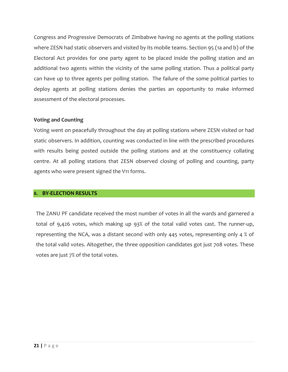Congress and Progressive Democrats of Zimbabwe having no agents at the polling stations where ZESN had static observers and visited by its mobile teams. Section 95 (1a and b) of the Electoral Act provides for one party agent to be placed inside the polling station and an additional two agents within the vicinity of the same polling station. Thus a political party can have up to three agents per polling station. The failure of the some political parties to deploy agents at polling stations denies the parties an opportunity to make informed assessment of the electoral processes.

#### **Voting and Counting**

Voting went on peacefully throughout the day at polling stations where ZESN visited or had static observers. In addition, counting was conducted in line with the prescribed procedures with results being posted outside the polling stations and at the constituency collating centre. At all polling stations that ZESN observed closing of polling and counting, party agents who were present signed the V11 forms.

#### <span id="page-20-0"></span>**8. BY-ELECTION RESULTS**

The ZANU PF candidate received the most number of votes in all the wards and garnered a total of 9,426 votes, which making up 93% of the total valid votes cast. The runner-up, representing the NCA, was a distant second with only 445 votes, representing only 4 % of the total valid votes. Altogether, the three opposition candidates got just 708 votes. These votes are just 7% of the total votes.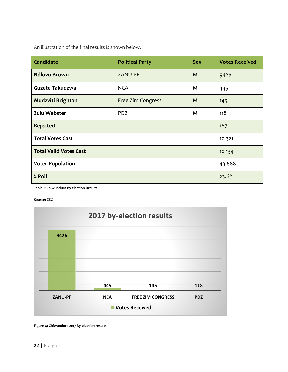An illustration of the final results is shown below.

| <b>Candidate</b>              | <b>Political Party</b> | <b>Sex</b> | <b>Votes Received</b> |
|-------------------------------|------------------------|------------|-----------------------|
| <b>Ndlovu Brown</b>           | ZANU-PF                | M          | 9426                  |
| Guzete Takudzwa               | <b>NCA</b>             | M          | 445                   |
| Mudzviti Brighton             | Free Zim Congress      | M          | 145                   |
| Zulu Webster                  | <b>PDZ</b>             | M          | 118                   |
| <b>Rejected</b>               |                        |            | 187                   |
| <b>Total Votes Cast</b>       |                        |            | 10 3 21               |
| <b>Total Valid Votes Cast</b> |                        |            | 10 134                |
| <b>Voter Population</b>       |                        |            | 43 6 8 8              |
| % Poll                        |                        |            | 23.6%                 |

**Table 1: Chiwundura By-election Results**

**Source: ZEC**



**Figure 4: Chiwundura 2017 By-election results**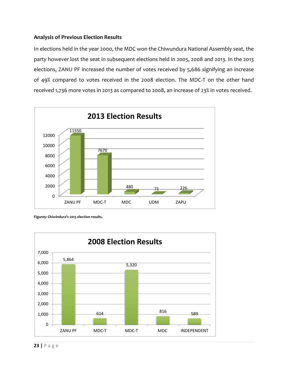#### **Analysis of Previous Election Results**

In elections held in the year 2000, the MDC won the Chiwundura National Assembly seat, the party however lost the seat in subsequent elections held in 2005, 2008 and 2013. In the 2013 elections, ZANU PF increased the number of votes received by 5,686 signifying an increase of 49% compared to votes received in the 2008 election. The MDC-T on the other hand received 1,736 more votes in 2013 as compared to 2008, an increase of 23% in votes received.



**Figure5: Chiwindura's 2013 election results.**

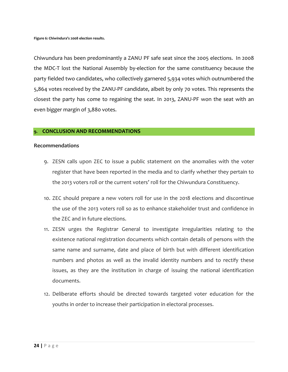Chiwundura has been predominantly a ZANU PF safe seat since the 2005 elections. In 2008 the MDC-T lost the National Assembly by-election for the same constituency because the party fielded two candidates, who collectively garnered 5,934 votes which outnumbered the 5,864 votes received by the ZANU-PF candidate, albeit by only 70 votes. This represents the closest the party has come to regaining the seat. In 2013, ZANU-PF won the seat with an even bigger margin of 3,880 votes.

#### <span id="page-23-0"></span>**9. CONCLUSION AND RECOMMENDATIONS**

#### **Recommendations**

- 9. ZESN calls upon ZEC to issue a public statement on the anomalies with the voter register that have been reported in the media and to clarify whether they pertain to the 2013 voters roll or the current voters' roll for the Chiwundura Constituency.
- 10. ZEC should prepare a new voters roll for use in the 2018 elections and discontinue the use of the 2013 voters roll so as to enhance stakeholder trust and confidence in the ZEC and in future elections.
- 11. ZESN urges the Registrar General to investigate irregularities relating to the existence national registration documents which contain details of persons with the same name and surname, date and place of birth but with different identification numbers and photos as well as the invalid identity numbers and to rectify these issues, as they are the institution in charge of issuing the national identification documents.
- 12. Deliberate efforts should be directed towards targeted voter education for the youths in order to increase their participation in electoral processes.